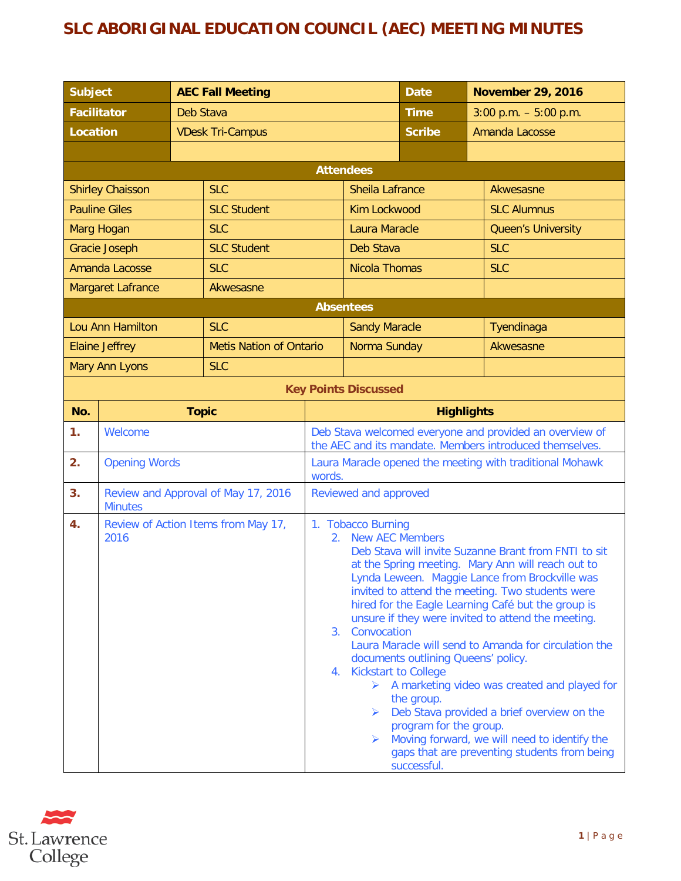## **SLC ABORIGINAL EDUCATION COUNCIL (AEC) MEETING MINUTES**

| <b>Subject</b>        |                                                       |                         | <b>AEC Fall Meeting</b>        |                                                                                                                                                                                                                                                                                                                                                                                                                                                                                                                                                                                                                                                                                                                                                                                                           |                             | <b>Date</b>  |                    | <b>November 29, 2016</b> |  |  |
|-----------------------|-------------------------------------------------------|-------------------------|--------------------------------|-----------------------------------------------------------------------------------------------------------------------------------------------------------------------------------------------------------------------------------------------------------------------------------------------------------------------------------------------------------------------------------------------------------------------------------------------------------------------------------------------------------------------------------------------------------------------------------------------------------------------------------------------------------------------------------------------------------------------------------------------------------------------------------------------------------|-----------------------------|--------------|--------------------|--------------------------|--|--|
| <b>Facilitator</b>    |                                                       |                         | Deb Stava                      |                                                                                                                                                                                                                                                                                                                                                                                                                                                                                                                                                                                                                                                                                                                                                                                                           |                             | <b>Time</b>  |                    | $3:00$ p.m. $-5:00$ p.m. |  |  |
| <b>Location</b>       |                                                       | <b>VDesk Tri-Campus</b> |                                |                                                                                                                                                                                                                                                                                                                                                                                                                                                                                                                                                                                                                                                                                                                                                                                                           | <b>Scribe</b>               |              | Amanda Lacosse     |                          |  |  |
|                       |                                                       |                         |                                |                                                                                                                                                                                                                                                                                                                                                                                                                                                                                                                                                                                                                                                                                                                                                                                                           |                             |              |                    |                          |  |  |
|                       | <b>Attendees</b>                                      |                         |                                |                                                                                                                                                                                                                                                                                                                                                                                                                                                                                                                                                                                                                                                                                                                                                                                                           |                             |              |                    |                          |  |  |
|                       | <b>Shirley Chaisson</b>                               |                         | <b>SLC</b>                     |                                                                                                                                                                                                                                                                                                                                                                                                                                                                                                                                                                                                                                                                                                                                                                                                           | <b>Sheila Lafrance</b>      |              | Akwesasne          |                          |  |  |
|                       | <b>Pauline Giles</b>                                  |                         | <b>SLC Student</b>             |                                                                                                                                                                                                                                                                                                                                                                                                                                                                                                                                                                                                                                                                                                                                                                                                           | <b>Kim Lockwood</b>         |              | <b>SLC Alumnus</b> |                          |  |  |
| Marg Hogan            |                                                       |                         | <b>SLC</b>                     |                                                                                                                                                                                                                                                                                                                                                                                                                                                                                                                                                                                                                                                                                                                                                                                                           | <b>Laura Maracle</b>        |              | Queen's University |                          |  |  |
|                       | Gracie Joseph                                         |                         | <b>SLC Student</b>             |                                                                                                                                                                                                                                                                                                                                                                                                                                                                                                                                                                                                                                                                                                                                                                                                           | Deb Stava                   |              | <b>SLC</b>         |                          |  |  |
|                       | <b>Amanda Lacosse</b>                                 |                         | <b>SLC</b>                     |                                                                                                                                                                                                                                                                                                                                                                                                                                                                                                                                                                                                                                                                                                                                                                                                           | <b>Nicola Thomas</b>        |              | <b>SLC</b>         |                          |  |  |
|                       | <b>Margaret Lafrance</b>                              |                         | Akwesasne                      |                                                                                                                                                                                                                                                                                                                                                                                                                                                                                                                                                                                                                                                                                                                                                                                                           |                             |              |                    |                          |  |  |
|                       |                                                       |                         |                                |                                                                                                                                                                                                                                                                                                                                                                                                                                                                                                                                                                                                                                                                                                                                                                                                           | <b>Absentees</b>            |              |                    |                          |  |  |
|                       | Lou Ann Hamilton                                      |                         | <b>SLC</b>                     |                                                                                                                                                                                                                                                                                                                                                                                                                                                                                                                                                                                                                                                                                                                                                                                                           | <b>Sandy Maracle</b>        |              | Tyendinaga         |                          |  |  |
|                       | <b>Elaine Jeffrey</b>                                 |                         | <b>Metis Nation of Ontario</b> |                                                                                                                                                                                                                                                                                                                                                                                                                                                                                                                                                                                                                                                                                                                                                                                                           |                             | Norma Sunday |                    | Akwesasne                |  |  |
| <b>Mary Ann Lyons</b> |                                                       | <b>SLC</b>              |                                |                                                                                                                                                                                                                                                                                                                                                                                                                                                                                                                                                                                                                                                                                                                                                                                                           |                             |              |                    |                          |  |  |
|                       |                                                       |                         |                                |                                                                                                                                                                                                                                                                                                                                                                                                                                                                                                                                                                                                                                                                                                                                                                                                           | <b>Key Points Discussed</b> |              |                    |                          |  |  |
| No.                   | <b>Topic</b>                                          |                         |                                | <b>Highlights</b>                                                                                                                                                                                                                                                                                                                                                                                                                                                                                                                                                                                                                                                                                                                                                                                         |                             |              |                    |                          |  |  |
| 1 <sub>1</sub>        | Welcome                                               |                         |                                | Deb Stava welcomed everyone and provided an overview of<br>the AEC and its mandate. Members introduced themselves.                                                                                                                                                                                                                                                                                                                                                                                                                                                                                                                                                                                                                                                                                        |                             |              |                    |                          |  |  |
| 2.                    | <b>Opening Words</b>                                  |                         |                                | Laura Maracle opened the meeting with traditional Mohawk<br>words.                                                                                                                                                                                                                                                                                                                                                                                                                                                                                                                                                                                                                                                                                                                                        |                             |              |                    |                          |  |  |
| 3.                    | Review and Approval of May 17, 2016<br><b>Minutes</b> |                         |                                | Reviewed and approved                                                                                                                                                                                                                                                                                                                                                                                                                                                                                                                                                                                                                                                                                                                                                                                     |                             |              |                    |                          |  |  |
| 4.                    | Review of Action Items from May 17,<br>2016           |                         |                                | 1. Tobacco Burning<br><b>New AEC Members</b><br>2.<br>Deb Stava will invite Suzanne Brant from FNTI to sit<br>at the Spring meeting. Mary Ann will reach out to<br>Lynda Leween. Maggie Lance from Brockville was<br>invited to attend the meeting. Two students were<br>hired for the Eagle Learning Café but the group is<br>unsure if they were invited to attend the meeting.<br>3. Convocation<br>Laura Maracle will send to Amanda for circulation the<br>documents outlining Queens' policy.<br><b>Kickstart to College</b><br>4.<br>> A marketing video was created and played for<br>the group.<br>Deb Stava provided a brief overview on the<br>≻<br>program for the group.<br>Moving forward, we will need to identify the<br>≻<br>gaps that are preventing students from being<br>successful. |                             |              |                    |                          |  |  |

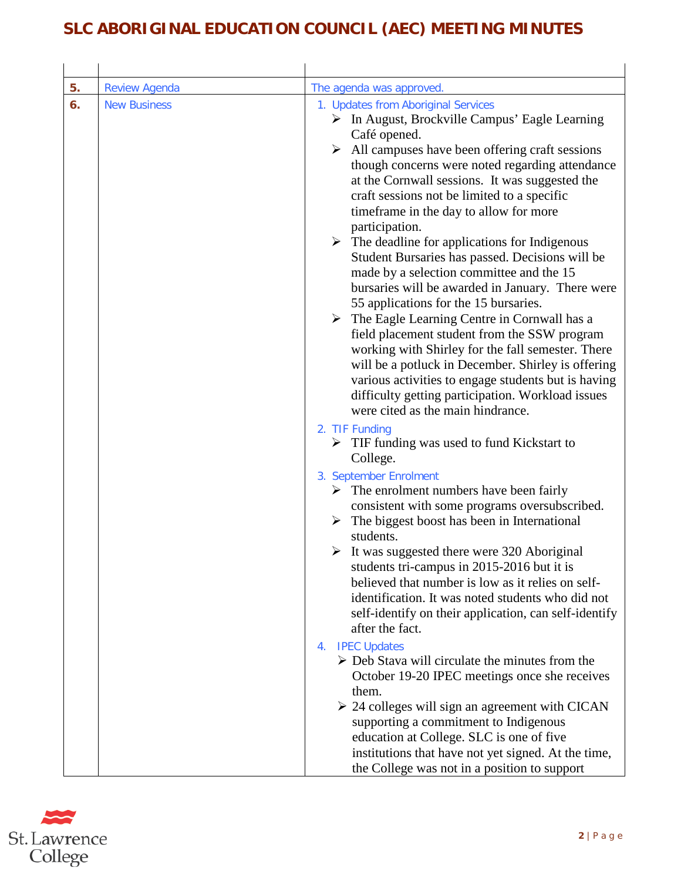## **SLC ABORIGINAL EDUCATION COUNCIL (AEC) MEETING MINUTES**

| 5. | <b>Review Agenda</b> | The agenda was approved.                                                                                                                                                                                                                                                                                                                                                                                                                                                                                                                                                                                                                                                                                                                                                                                                                                                                                                                                                                                                                                           |
|----|----------------------|--------------------------------------------------------------------------------------------------------------------------------------------------------------------------------------------------------------------------------------------------------------------------------------------------------------------------------------------------------------------------------------------------------------------------------------------------------------------------------------------------------------------------------------------------------------------------------------------------------------------------------------------------------------------------------------------------------------------------------------------------------------------------------------------------------------------------------------------------------------------------------------------------------------------------------------------------------------------------------------------------------------------------------------------------------------------|
| 6. | <b>New Business</b>  | 1. Updates from Aboriginal Services<br>$\triangleright$ In August, Brockville Campus' Eagle Learning<br>Café opened.<br>$\triangleright$ All campuses have been offering craft sessions<br>though concerns were noted regarding attendance<br>at the Cornwall sessions. It was suggested the<br>craft sessions not be limited to a specific<br>timeframe in the day to allow for more<br>participation.<br>$\triangleright$ The deadline for applications for Indigenous<br>Student Bursaries has passed. Decisions will be<br>made by a selection committee and the 15<br>bursaries will be awarded in January. There were<br>55 applications for the 15 bursaries.<br>$\triangleright$ The Eagle Learning Centre in Cornwall has a<br>field placement student from the SSW program<br>working with Shirley for the fall semester. There<br>will be a potluck in December. Shirley is offering<br>various activities to engage students but is having<br>difficulty getting participation. Workload issues<br>were cited as the main hindrance.<br>2. TIF Funding |
|    |                      | $\triangleright$ TIF funding was used to fund Kickstart to<br>College.<br>3. September Enrolment<br>$\triangleright$ The enrolment numbers have been fairly<br>consistent with some programs oversubscribed.<br>The biggest boost has been in International<br>➤<br>students.<br>$\triangleright$ It was suggested there were 320 Aboriginal<br>students tri-campus in 2015-2016 but it is<br>believed that number is low as it relies on self-<br>identification. It was noted students who did not<br>self-identify on their application, can self-identify<br>after the fact.<br>4. IPEC Updates<br>$\triangleright$ Deb Stava will circulate the minutes from the<br>October 19-20 IPEC meetings once she receives<br>them.<br>$\geq$ 24 colleges will sign an agreement with CICAN<br>supporting a commitment to Indigenous<br>education at College. SLC is one of five<br>institutions that have not yet signed. At the time,<br>the College was not in a position to support                                                                                |